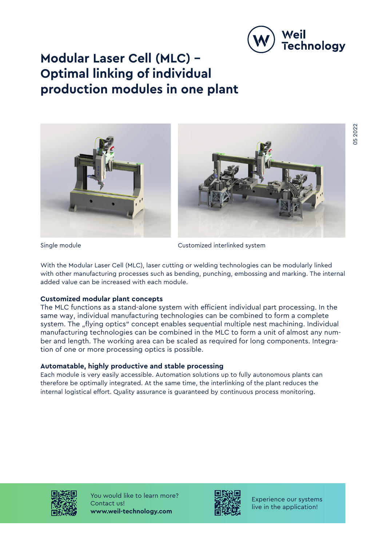

# **Modular Laser Cell (MLC) – Optimal linking of individual production modules in one plant**



Single module **Customized** interlinked system

With the Modular Laser Cell (MLC), laser cutting or welding technologies can be modularly linked with other manufacturing processes such as bending, punching, embossing and marking. The internal added value can be increased with each module.

## **Customized modular plant concepts**

The MLC functions as a stand-alone system with efficient individual part processing. In the same way, individual manufacturing technologies can be combined to form a complete system. The "flying optics" concept enables sequential multiple nest machining. Individual manufacturing technologies can be combined in the MLC to form a unit of almost any number and length. The working area can be scaled as required for long components. Integration of one or more processing optics is possible.

### **Automatable, highly productive and stable processing**

Each module is very easily accessible. Automation solutions up to fully autonomous plants can therefore be optimally integrated. At the same time, the interlinking of the plant reduces the internal logistical effort. Quality assurance is guaranteed by continuous process monitoring.



You would like to learn more? Contact us! **www.weil-technology.com**



Experience our systems live in the application!